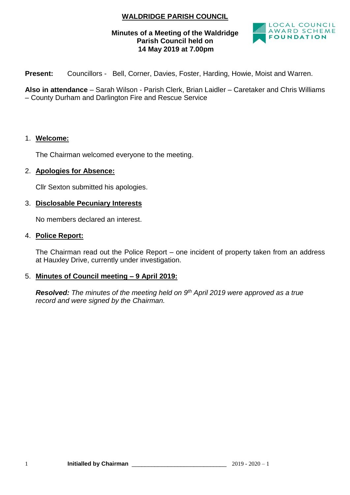# **WALDRIDGE PARISH COUNCIL**

# **Minutes of a Meeting of the Waldridge Parish Council held on 14 May 2019 at 7.00pm**



**Present:** Councillors - Bell, Corner, Davies, Foster, Harding, Howie, Moist and Warren.

**Also in attendance** – Sarah Wilson - Parish Clerk, Brian Laidler – Caretaker and Chris Williams – County Durham and Darlington Fire and Rescue Service

# 1. **Welcome:**

The Chairman welcomed everyone to the meeting.

# 2. **Apologies for Absence:**

Cllr Sexton submitted his apologies.

# 3. **Disclosable Pecuniary Interests**

No members declared an interest.

### 4. **Police Report:**

The Chairman read out the Police Report – one incident of property taken from an address at Hauxley Drive, currently under investigation.

# 5. **Minutes of Council meeting – 9 April 2019:**

*Resolved: The minutes of the meeting held on 9 th April 2019 were approved as a true record and were signed by the Chairman.*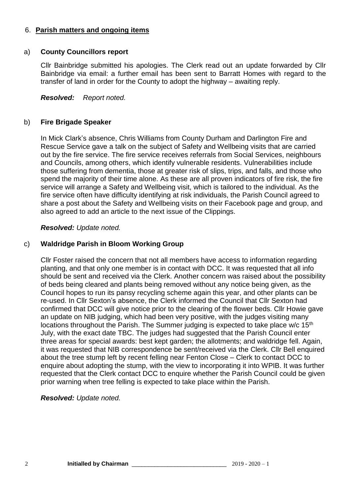# 6. **Parish matters and ongoing items**

## a) **County Councillors report**

Cllr Bainbridge submitted his apologies. The Clerk read out an update forwarded by Cllr Bainbridge via email: a further email has been sent to Barratt Homes with regard to the transfer of land in order for the County to adopt the highway – awaiting reply.

*Resolved: Report noted.* 

# b) **Fire Brigade Speaker**

In Mick Clark's absence, Chris Williams from County Durham and Darlington Fire and Rescue Service gave a talk on the subject of Safety and Wellbeing visits that are carried out by the fire service. The fire service receives referrals from Social Services, neighbours and Councils, among others, which identify vulnerable residents. Vulnerabilities include those suffering from dementia, those at greater risk of slips, trips, and falls, and those who spend the majority of their time alone. As these are all proven indicators of fire risk, the fire service will arrange a Safety and Wellbeing visit, which is tailored to the individual. As the fire service often have difficulty identifying at risk individuals, the Parish Council agreed to share a post about the Safety and Wellbeing visits on their Facebook page and group, and also agreed to add an article to the next issue of the Clippings.

# *Resolved: Update noted.*

# c) **Waldridge Parish in Bloom Working Group**

Cllr Foster raised the concern that not all members have access to information regarding planting, and that only one member is in contact with DCC. It was requested that all info should be sent and received via the Clerk. Another concern was raised about the possibility of beds being cleared and plants being removed without any notice being given, as the Council hopes to run its pansy recycling scheme again this year, and other plants can be re-used. In Cllr Sexton's absence, the Clerk informed the Council that Cllr Sexton had confirmed that DCC will give notice prior to the clearing of the flower beds. Cllr Howie gave an update on NIB judging, which had been very positive, with the judges visiting many locations throughout the Parish. The Summer judging is expected to take place  $w/c$  15<sup>th</sup> July, with the exact date TBC. The judges had suggested that the Parish Council enter three areas for special awards: best kept garden; the allotments; and waldridge fell. Again, it was requested that NIB correspondence be sent/received via the Clerk. Cllr Bell enquired about the tree stump left by recent felling near Fenton Close – Clerk to contact DCC to enquire about adopting the stump, with the view to incorporating it into WPIB. It was further requested that the Clerk contact DCC to enquire whether the Parish Council could be given prior warning when tree felling is expected to take place within the Parish.

# *Resolved: Update noted.*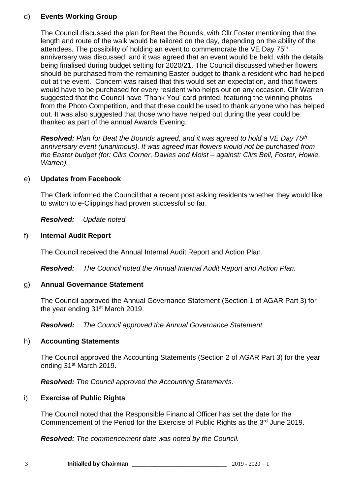# d) **Events Working Group**

The Council discussed the plan for Beat the Bounds, with Cllr Foster mentioning that the length and route of the walk would be tailored on the day, depending on the ability of the attendees. The possibility of holding an event to commemorate the VE Day 75<sup>th</sup> anniversary was discussed, and it was agreed that an event would be held, with the details being finalised during budget setting for 2020/21. The Council discussed whether flowers should be purchased from the remaining Easter budget to thank a resident who had helped out at the event. Concern was raised that this would set an expectation, and that flowers would have to be purchased for every resident who helps out on any occasion. Cllr Warren suggested that the Council have 'Thank You' card printed, featuring the winning photos from the Photo Competition, and that these could be used to thank anyone who has helped out. It was also suggested that those who have helped out during the year could be thanked as part of the annual Awards Evening.

*Resolved: Plan for Beat the Bounds agreed, and it was agreed to hold a VE Day 75th anniversary event (unanimous). It was agreed that flowers would not be purchased from the Easter budget (for: Cllrs Corner, Davies and Moist – against: Cllrs Bell, Foster, Howie, Warren).*

# e) **Updates from Facebook**

The Clerk informed the Council that a recent post asking residents whether they would like to switch to e-Clippings had proven successful so far.

*Resolved: Update noted.*

# f) **Internal Audit Report**

The Council received the Annual Internal Audit Report and Action Plan.

*Resolved: The Council noted the Annual Internal Audit Report and Action Plan.*

# g) **Annual Governance Statement**

The Council approved the Annual Governance Statement (Section 1 of AGAR Part 3) for the year ending 31st March 2019.

*Resolved: The Council approved the Annual Governance Statement.*

### h) **Accounting Statements**

The Council approved the Accounting Statements (Section 2 of AGAR Part 3) for the year ending 31st March 2019.

*Resolved: The Council approved the Accounting Statements.*

# i) **Exercise of Public Rights**

The Council noted that the Responsible Financial Officer has set the date for the Commencement of the Period for the Exercise of Public Rights as the 3<sup>rd</sup> June 2019.

*Resolved: The commencement date was noted by the Council.*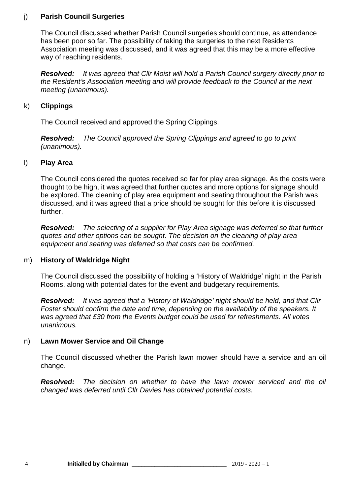# j) **Parish Council Surgeries**

The Council discussed whether Parish Council surgeries should continue, as attendance has been poor so far. The possibility of taking the surgeries to the next Residents Association meeting was discussed, and it was agreed that this may be a more effective way of reaching residents.

*Resolved: It was agreed that Cllr Moist will hold a Parish Council surgery directly prior to the Resident's Association meeting and will provide feedback to the Council at the next meeting (unanimous).*

## k) **Clippings**

The Council received and approved the Spring Clippings.

*Resolved: The Council approved the Spring Clippings and agreed to go to print (unanimous).*

### l) **Play Area**

The Council considered the quotes received so far for play area signage. As the costs were thought to be high, it was agreed that further quotes and more options for signage should be explored. The cleaning of play area equipment and seating throughout the Parish was discussed, and it was agreed that a price should be sought for this before it is discussed further.

*Resolved: The selecting of a supplier for Play Area signage was deferred so that further quotes and other options can be sought. The decision on the cleaning of play area equipment and seating was deferred so that costs can be confirmed.*

### m) **History of Waldridge Night**

The Council discussed the possibility of holding a 'History of Waldridge' night in the Parish Rooms, along with potential dates for the event and budgetary requirements.

*Resolved: It was agreed that a 'History of Waldridge' night should be held, and that Cllr Foster should confirm the date and time, depending on the availability of the speakers. It was agreed that £30 from the Events budget could be used for refreshments. All votes unanimous.*

### n) **Lawn Mower Service and Oil Change**

The Council discussed whether the Parish lawn mower should have a service and an oil change.

*Resolved: The decision on whether to have the lawn mower serviced and the oil changed was deferred until Cllr Davies has obtained potential costs.*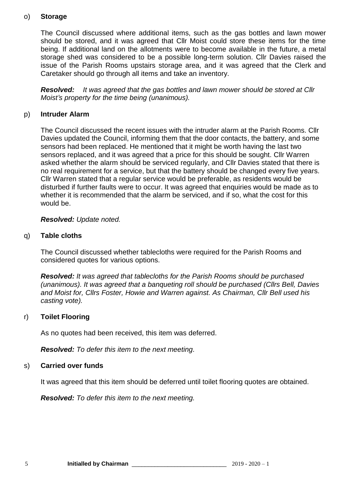# o) **Storage**

The Council discussed where additional items, such as the gas bottles and lawn mower should be stored, and it was agreed that Cllr Moist could store these items for the time being. If additional land on the allotments were to become available in the future, a metal storage shed was considered to be a possible long-term solution. Cllr Davies raised the issue of the Parish Rooms upstairs storage area, and it was agreed that the Clerk and Caretaker should go through all items and take an inventory.

*Resolved: It was agreed that the gas bottles and lawn mower should be stored at Cllr Moist's property for the time being (unanimous).*

# p) **Intruder Alarm**

The Council discussed the recent issues with the intruder alarm at the Parish Rooms. Cllr Davies updated the Council, informing them that the door contacts, the battery, and some sensors had been replaced. He mentioned that it might be worth having the last two sensors replaced, and it was agreed that a price for this should be sought. Cllr Warren asked whether the alarm should be serviced regularly, and Cllr Davies stated that there is no real requirement for a service, but that the battery should be changed every five years. Cllr Warren stated that a regular service would be preferable, as residents would be disturbed if further faults were to occur. It was agreed that enquiries would be made as to whether it is recommended that the alarm be serviced, and if so, what the cost for this would be.

# *Resolved: Update noted.*

# q) **Table cloths**

The Council discussed whether tablecloths were required for the Parish Rooms and considered quotes for various options.

*Resolved: It was agreed that tablecloths for the Parish Rooms should be purchased (unanimous). It was agreed that a banqueting roll should be purchased (Cllrs Bell, Davies and Moist for, Cllrs Foster, Howie and Warren against. As Chairman, Cllr Bell used his casting vote).*

# r) **Toilet Flooring**

As no quotes had been received, this item was deferred.

*Resolved: To defer this item to the next meeting.*

### s) **Carried over funds**

It was agreed that this item should be deferred until toilet flooring quotes are obtained.

*Resolved: To defer this item to the next meeting.*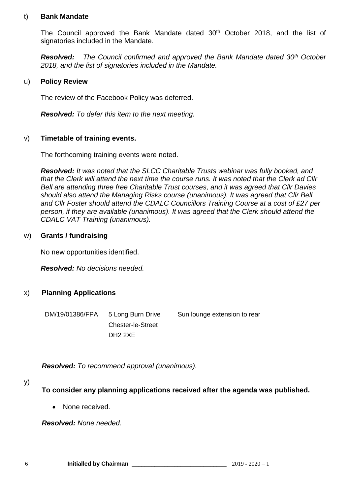#### t) **Bank Mandate**

The Council approved the Bank Mandate dated 30<sup>th</sup> October 2018, and the list of signatories included in the Mandate.

*Resolved: The Council confirmed and approved the Bank Mandate dated 30th October 2018, and the list of signatories included in the Mandate.*

#### u) **Policy Review**

The review of the Facebook Policy was deferred.

*Resolved: To defer this item to the next meeting.*

#### v) **Timetable of training events.**

The forthcoming training events were noted.

*Resolved: It was noted that the SLCC Charitable Trusts webinar was fully booked, and that the Clerk will attend the next time the course runs. It was noted that the Clerk ad Cllr Bell are attending three free Charitable Trust courses, and it was agreed that Cllr Davies should also attend the Managing Risks course (unanimous). It was agreed that Cllr Bell and Cllr Foster should attend the CDALC Councillors Training Course at a cost of £27 per person, if they are available (unanimous). It was agreed that the Clerk should attend the CDALC VAT Training (unanimous).*

#### w) **Grants / fundraising**

No new opportunities identified.

*Resolved: No decisions needed.*

#### x) **Planning Applications**

DM/19/01386/FPA 5 Long Burn Drive Chester-le-Street DH2 2XE Sun lounge extension to rear

*Resolved: To recommend approval (unanimous).*

y)

**To consider any planning applications received after the agenda was published.**

None received.

*Resolved: None needed.*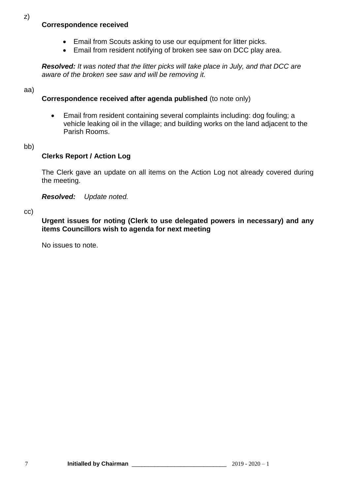## **Correspondence received**

- Email from Scouts asking to use our equipment for litter picks.
- Email from resident notifying of broken see saw on DCC play area.

*Resolved: It was noted that the litter picks will take place in July, and that DCC are aware of the broken see saw and will be removing it.*

#### aa)

# **Correspondence received after agenda published** (to note only)

- Email from resident containing several complaints including: dog fouling; a vehicle leaking oil in the village; and building works on the land adjacent to the Parish Rooms.
- bb)

# **Clerks Report / Action Log**

The Clerk gave an update on all items on the Action Log not already covered during the meeting.

*Resolved: Update noted.*

cc)

**Urgent issues for noting (Clerk to use delegated powers in necessary) and any items Councillors wish to agenda for next meeting**

No issues to note.